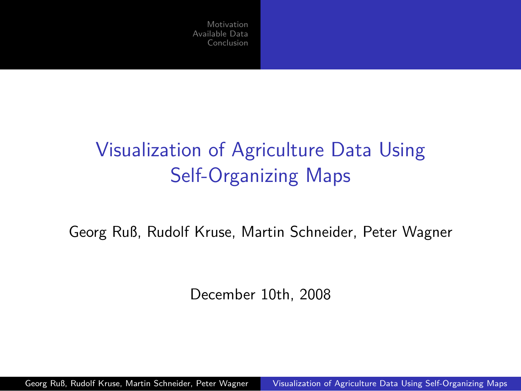# Visualization of Agriculture Data Using Self-Organizing Maps

Georg Ruß, Rudolf Kruse, Martin Schneider, Peter Wagner

<span id="page-0-0"></span>December 10th, 2008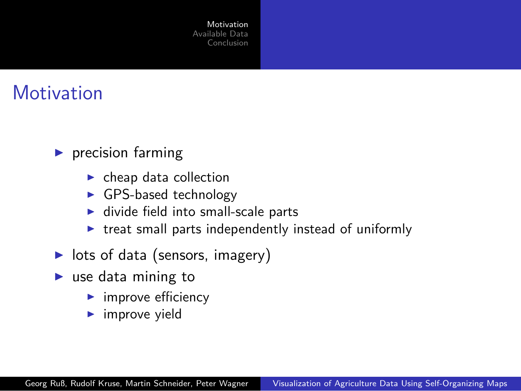#### **Motivation**

- $\blacktriangleright$  precision farming
	- $\blacktriangleright$  cheap data collection
	- ► GPS-based technology
	- $\blacktriangleright$  divide field into small-scale parts
	- $\triangleright$  treat small parts independently instead of uniformly
- ▶ lots of data (sensors, imagery)
- <span id="page-1-0"></span> $\blacktriangleright$  use data mining to
	- $\blacktriangleright$  improve efficiency
	- $\blacktriangleright$  improve yield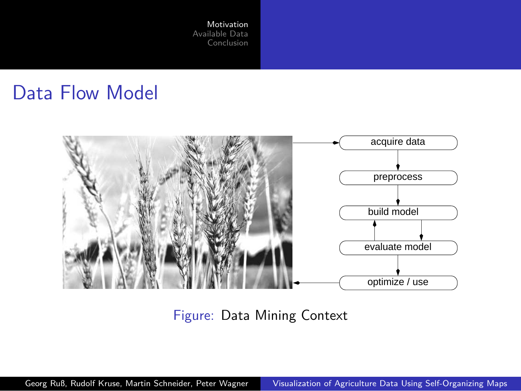#### Data Flow Model



Figure: Data Mining Context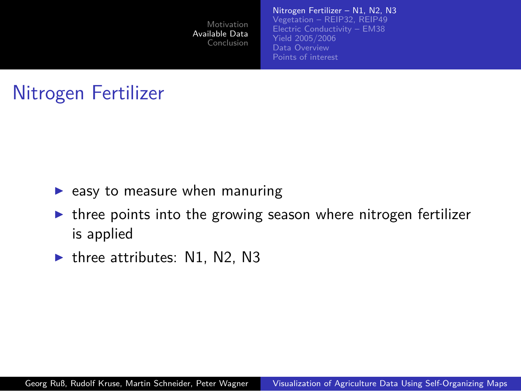

# Nitrogen Fertilizer

- $\blacktriangleright$  easy to measure when manuring
- $\triangleright$  three points into the growing season where nitrogen fertilizer is applied
- <span id="page-3-0"></span> $\blacktriangleright$  three attributes: N1, N2, N3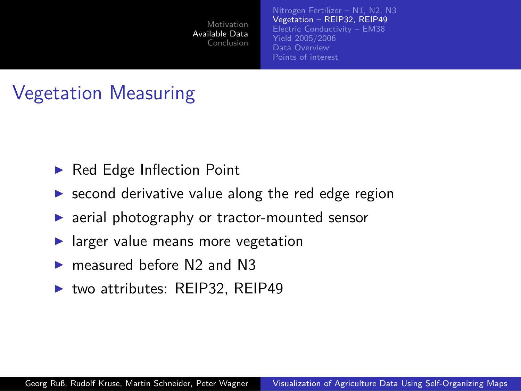

## Vegetation Measuring

- ▶ Red Edge Inflection Point
- $\triangleright$  second derivative value along the red edge region
- ▶ aerial photography or tractor-mounted sensor
- larger value means more vegetation
- measured before N2 and N3
- <span id="page-4-0"></span>▶ two attributes: REIP32, REIP49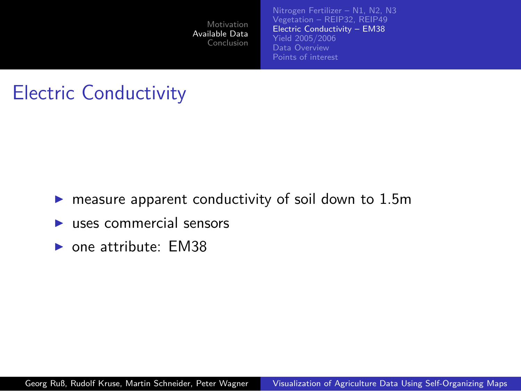[Motivation](#page-1-0) [Available Data](#page-3-0) [Conclusion](#page-16-0) [Nitrogen Fertilizer – N1, N2, N3](#page-3-0) [Vegetation – REIP32, REIP49](#page-4-0) [Electric Conductivity – EM38](#page-5-0) [Yield 2005/2006](#page-6-0) [Data Overview](#page-7-0) [Points of interest](#page-10-0)

## Electric Conductivity

- measure apparent conductivity of soil down to 1.5m
- uses commercial sensors
- <span id="page-5-0"></span> $\triangleright$  one attribute: EM38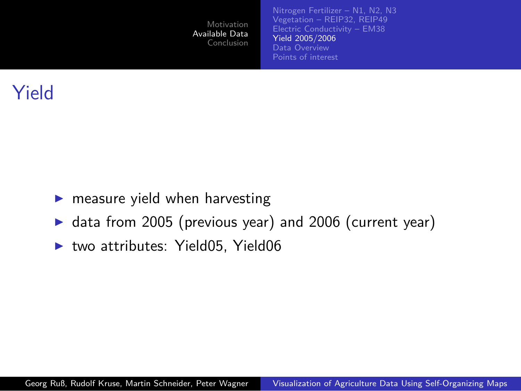

## Yield

- measure yield when harvesting
- ▶ data from 2005 (previous year) and 2006 (current year)
- <span id="page-6-0"></span>two attributes: Yield05, Yield06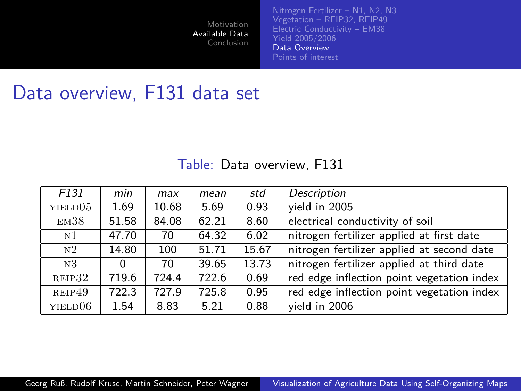[Nitrogen Fertilizer – N1, N2, N3](#page-3-0) [Vegetation – REIP32, REIP49](#page-4-0) [Electric Conductivity – EM38](#page-5-0) [Yield 2005/2006](#page-6-0) [Data Overview](#page-7-0) [Points of interest](#page-10-0)

#### Data overview, F131 data set

#### <span id="page-7-0"></span>Table: Data overview, F131

| F <sub>131</sub>    | min   | max   | mean  | std   | Description                                |
|---------------------|-------|-------|-------|-------|--------------------------------------------|
| YIELD <sub>05</sub> | 1.69  | 10.68 | 5.69  | 0.93  | vield in 2005                              |
| EM38                | 51.58 | 84.08 | 62.21 | 8.60  | electrical conductivity of soil            |
| N1                  | 47.70 | 70    | 64.32 | 6.02  | nitrogen fertilizer applied at first date  |
| N <sub>2</sub>      | 14.80 | 100   | 51.71 | 15.67 | nitrogen fertilizer applied at second date |
| N <sub>3</sub>      | 0     | 70    | 39.65 | 13.73 | nitrogen fertilizer applied at third date  |
| REIP32              | 719.6 | 724.4 | 722.6 | 0.69  | red edge inflection point vegetation index |
| REIP49              | 722.3 | 727.9 | 725.8 | 0.95  | red edge inflection point vegetation index |
| YIELD06             | 1.54  | 8.83  | 5.21  | 0.88  | vield in 2006                              |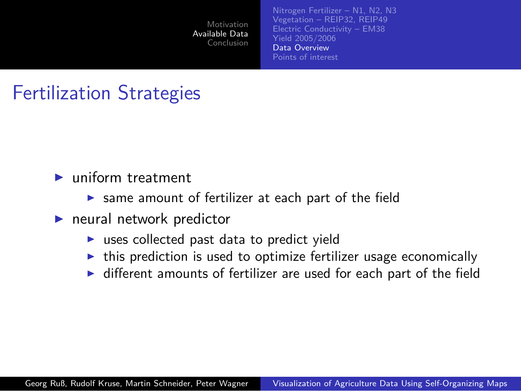

## Fertilization Strategies

- ▶ uniform treatment
	- $\triangleright$  same amount of fertilizer at each part of the field
- $\blacktriangleright$  neural network predictor
	- $\triangleright$  uses collected past data to predict yield
	- $\triangleright$  this prediction is used to optimize fertilizer usage economically
	- ▶ different amounts of fertilizer are used for each part of the field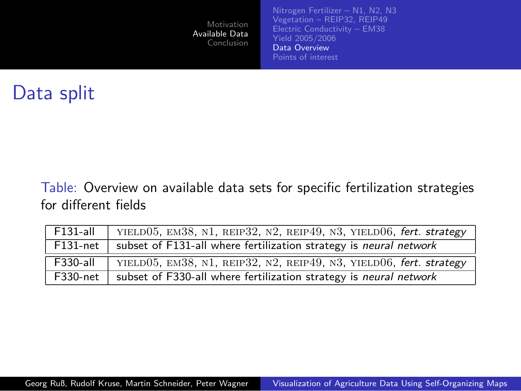| Motivation<br>Available Data<br>Conclusion | Nitrogen Fertilizer - N1, N2, N3<br>Vegetation - REIP32, REIP49<br>Electric Conductivity - EM38<br>Yield 2005/2006<br>Data Overview<br>Points of interest |
|--------------------------------------------|-----------------------------------------------------------------------------------------------------------------------------------------------------------|
|                                            |                                                                                                                                                           |

## Data split

Table: Overview on available data sets for specific fertilization strategies for different fields

| $F131-all$  | YIELD05, EM38, N1, REIP32, N2, REIP49, N3, YIELD06, fert. strategy |
|-------------|--------------------------------------------------------------------|
| $F131$ -net | subset of F131-all where fertilization strategy is neural network  |
| $F330-all$  | YIELD05, EM38, N1, REIP32, N2, REIP49, N3, YIELD06, fert. strategy |
| F330-net    | subset of F330-all where fertilization strategy is neural network  |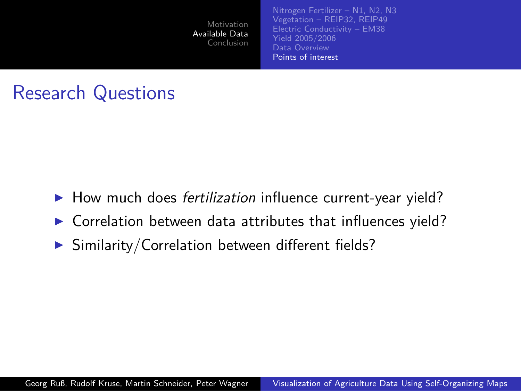

#### Research Questions

- ▶ How much does *fertilization* influence current-year yield?
- Correlation between data attributes that influences yield?
- <span id="page-10-0"></span> $\triangleright$  Similarity/Correlation between different fields?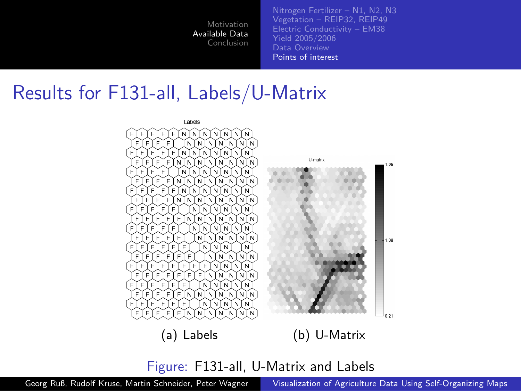[Nitrogen Fertilizer – N1, N2, N3](#page-3-0) [Vegetation – REIP32, REIP49](#page-4-0) [Electric Conductivity – EM38](#page-5-0) [Yield 2005/2006](#page-6-0) [Data Overview](#page-7-0) [Points of interest](#page-10-0)

#### Results for F131-all, Labels/U-Matrix



Figure: F131-all, U-Matrix and Labels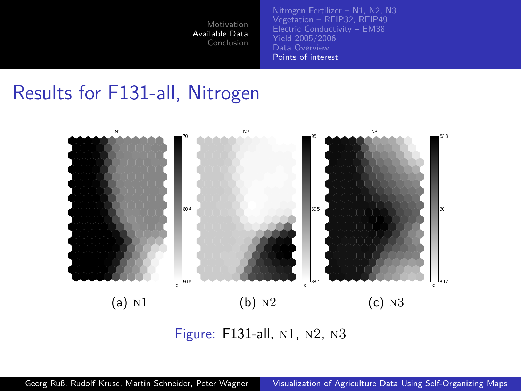[Nitrogen Fertilizer – N1, N2, N3](#page-3-0) [Vegetation – REIP32, REIP49](#page-4-0) [Electric Conductivity – EM38](#page-5-0) [Yield 2005/2006](#page-6-0) [Data Overview](#page-7-0) [Points of interest](#page-10-0)

#### Results for F131-all, Nitrogen



Figure: F131-all, n1, n2, n3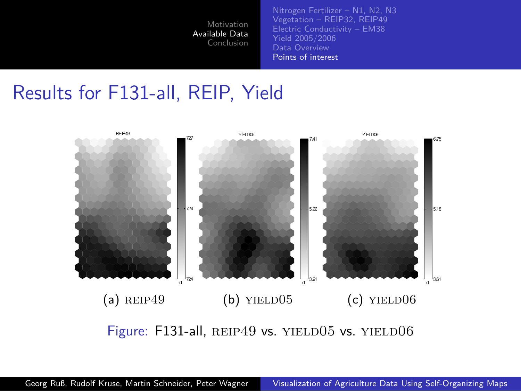[Nitrogen Fertilizer – N1, N2, N3](#page-3-0) [Vegetation – REIP32, REIP49](#page-4-0) [Electric Conductivity – EM38](#page-5-0) [Yield 2005/2006](#page-6-0) [Data Overview](#page-7-0) [Points of interest](#page-10-0)

#### Results for F131-all, REIP, Yield



Figure: F131-all, REIP49 vs. YIELD05 vs. YIELD06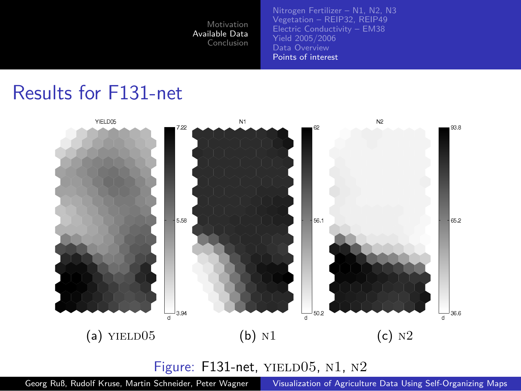[Nitrogen Fertilizer – N1, N2, N3](#page-3-0) [Vegetation – REIP32, REIP49](#page-4-0) [Electric Conductivity – EM38](#page-5-0) [Yield 2005/2006](#page-6-0) [Data Overview](#page-7-0) [Points of interest](#page-10-0)

#### Results for F131-net



Figure: F131-net, YIELD05, N1, N2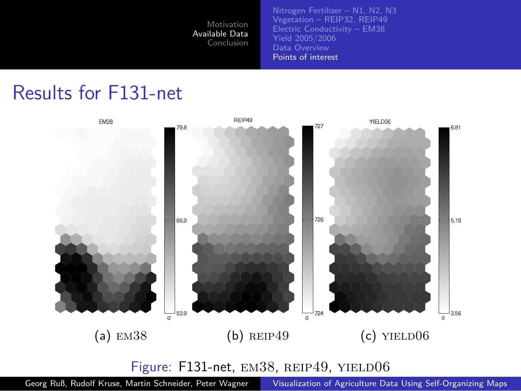[Nitrogen Fertilizer – N1, N2, N3](#page-3-0) [Vegetation – REIP32, REIP49](#page-4-0) [Electric Conductivity – EM38](#page-5-0) [Yield 2005/2006](#page-6-0) [Data Overview](#page-7-0) [Points of interest](#page-10-0)

#### Results for F131-net